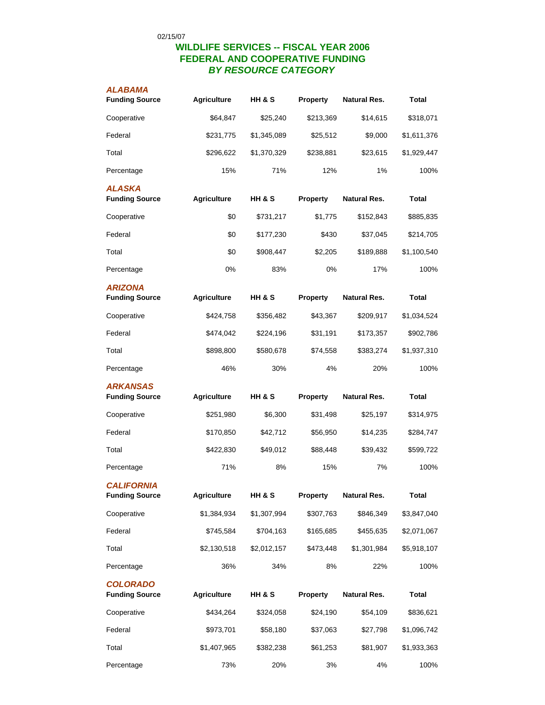## **WILDLIFE SERVICES -- FISCAL YEAR 2006 FEDERAL AND COOPERATIVE FUNDING** *BY RESOURCE CATEGORY*

| ALABAMA<br><b>Funding Source</b>           | <b>Agriculture</b> | <b>HH &amp; S</b> | Property  | <b>Natural Res.</b> | Total        |
|--------------------------------------------|--------------------|-------------------|-----------|---------------------|--------------|
| Cooperative                                | \$64,847           | \$25,240          | \$213,369 | \$14,615            | \$318,071    |
| Federal                                    | \$231,775          | \$1,345,089       | \$25,512  | \$9,000             | \$1,611,376  |
| Total                                      | \$296,622          | \$1,370,329       | \$238,881 | \$23,615            | \$1,929,447  |
| Percentage                                 | 15%                | 71%               | 12%       | 1%                  | 100%         |
| <b>ALASKA</b><br><b>Funding Source</b>     | <b>Agriculture</b> | HH & S            | Property  | Natural Res.        | Total        |
| Cooperative                                | \$0                | \$731,217         | \$1,775   | \$152,843           | \$885,835    |
| Federal                                    | \$0                | \$177,230         | \$430     | \$37,045            | \$214,705    |
| Total                                      | \$0                | \$908,447         | \$2,205   | \$189,888           | \$1,100,540  |
| Percentage                                 | 0%                 | 83%               | 0%        | 17%                 | 100%         |
| <b>ARIZONA</b><br><b>Funding Source</b>    | <b>Agriculture</b> | <b>HH &amp; S</b> | Property  | <b>Natural Res.</b> | Total        |
| Cooperative                                | \$424,758          | \$356,482         | \$43,367  | \$209,917           | \$1,034,524  |
| Federal                                    | \$474,042          | \$224,196         | \$31,191  | \$173,357           | \$902,786    |
| Total                                      | \$898,800          | \$580,678         | \$74,558  | \$383,274           | \$1,937,310  |
| Percentage                                 | 46%                | 30%               | 4%        | 20%                 | 100%         |
| <b>ARKANSAS</b><br><b>Funding Source</b>   | <b>Agriculture</b> | HH & S            | Property  | Natural Res.        | Total        |
| Cooperative                                | \$251,980          | \$6,300           | \$31,498  | \$25,197            | \$314,975    |
| Federal                                    | \$170,850          | \$42,712          | \$56,950  | \$14,235            | \$284,747    |
| Total                                      | \$422,830          | \$49,012          | \$88,448  | \$39,432            | \$599,722    |
| Percentage                                 | 71%                | 8%                | 15%       | 7%                  | 100%         |
| <b>CALIFORNIA</b><br><b>Funding Source</b> | <b>Agriculture</b> | HH & S            | Property  | <b>Natural Res.</b> | <b>Total</b> |
| Cooperative                                | \$1,384,934        | \$1,307,994       | \$307,763 | \$846,349           | \$3,847,040  |
| Federal                                    | \$745,584          | \$704,163         | \$165,685 | \$455,635           | \$2,071,067  |
| Total                                      | \$2,130,518        | \$2,012,157       | \$473,448 | \$1,301,984         | \$5,918,107  |
| Percentage                                 | 36%                | 34%               | 8%        | 22%                 | 100%         |
| <b>COLORADO</b><br><b>Funding Source</b>   | <b>Agriculture</b> | HH & S            | Property  | <b>Natural Res.</b> | <b>Total</b> |
| Cooperative                                | \$434,264          | \$324,058         | \$24,190  | \$54,109            | \$836,621    |
| Federal                                    | \$973,701          | \$58,180          | \$37,063  | \$27,798            | \$1,096,742  |
| Total                                      | \$1,407,965        | \$382,238         | \$61,253  | \$81,907            | \$1,933,363  |
| Percentage                                 | 73%                | 20%               | 3%        | 4%                  | 100%         |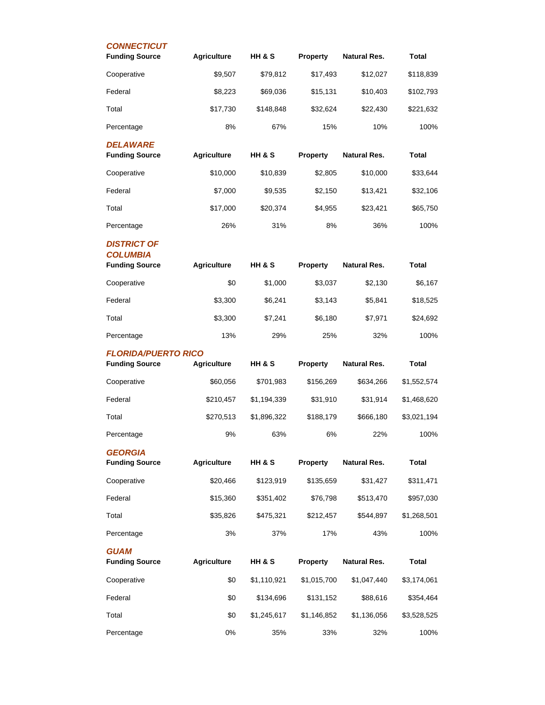| <b>CONNECTICUT</b><br><b>Funding Source</b>                    | <b>Agriculture</b> | HH & S            | <b>Property</b> | <b>Natural Res.</b> | <b>Total</b> |
|----------------------------------------------------------------|--------------------|-------------------|-----------------|---------------------|--------------|
| Cooperative                                                    | \$9,507            | \$79,812          | \$17,493        | \$12,027            | \$118,839    |
| Federal                                                        | \$8,223            | \$69,036          | \$15,131        | \$10,403            | \$102,793    |
| Total                                                          | \$17,730           | \$148,848         | \$32,624        | \$22,430            | \$221,632    |
| Percentage                                                     | 8%                 | 67%               | 15%             | 10%                 | 100%         |
| <b>DELAWARE</b><br><b>Funding Source</b>                       | <b>Agriculture</b> | <b>HH &amp; S</b> | <b>Property</b> | <b>Natural Res.</b> | <b>Total</b> |
| Cooperative                                                    | \$10,000           | \$10,839          | \$2,805         | \$10,000            | \$33,644     |
| Federal                                                        | \$7,000            | \$9,535           | \$2,150         | \$13,421            | \$32,106     |
| Total                                                          | \$17,000           | \$20,374          | \$4,955         | \$23,421            | \$65,750     |
| Percentage                                                     | 26%                | 31%               | 8%              | 36%                 | 100%         |
| <b>DISTRICT OF</b><br><b>COLUMBIA</b><br><b>Funding Source</b> | <b>Agriculture</b> | HH & S            | Property        | <b>Natural Res.</b> | <b>Total</b> |
| Cooperative                                                    | \$0                | \$1,000           | \$3,037         | \$2,130             | \$6,167      |
| Federal                                                        | \$3,300            | \$6,241           | \$3,143         | \$5,841             | \$18,525     |
| Total                                                          | \$3,300            | \$7,241           | \$6,180         | \$7,971             | \$24,692     |
| Percentage                                                     | 13%                | 29%               | 25%             | 32%                 | 100%         |
| <b>FLORIDA/PUERTO RICO</b><br><b>Funding Source</b>            | <b>Agriculture</b> | HH & S            | <b>Property</b> | Natural Res.        | <b>Total</b> |
| Cooperative                                                    | \$60,056           | \$701,983         | \$156,269       | \$634,266           | \$1,552,574  |
| Federal                                                        | \$210,457          | \$1,194,339       | \$31,910        | \$31,914            | \$1,468,620  |
| Total                                                          | \$270,513          | \$1,896,322       | \$188,179       | \$666,180           | \$3,021,194  |
| Percentage                                                     | 9%                 | 63%               | 6%              | 22%                 | 100%         |
| <b>GEORGIA</b><br><b>Funding Source</b>                        | <b>Agriculture</b> | HH & S            | <b>Property</b> | <b>Natural Res.</b> | <b>Total</b> |
| Cooperative                                                    | \$20,466           | \$123,919         | \$135,659       | \$31,427            | \$311,471    |
| Federal                                                        | \$15,360           | \$351,402         | \$76,798        | \$513,470           | \$957,030    |
| Total                                                          | \$35,826           | \$475,321         | \$212,457       | \$544,897           | \$1,268,501  |
| Percentage                                                     | 3%                 | 37%               | 17%             | 43%                 | 100%         |
| <b>GUAM</b><br><b>Funding Source</b>                           | <b>Agriculture</b> | HH & S            | <b>Property</b> | <b>Natural Res.</b> | <b>Total</b> |
| Cooperative                                                    | \$0                | \$1,110,921       | \$1,015,700     | \$1,047,440         | \$3,174,061  |
| Federal                                                        | \$0                | \$134,696         | \$131,152       | \$88,616            | \$354,464    |
| Total                                                          | \$0                | \$1,245,617       | \$1,146,852     | \$1,136,056         | \$3,528,525  |
|                                                                |                    |                   |                 |                     |              |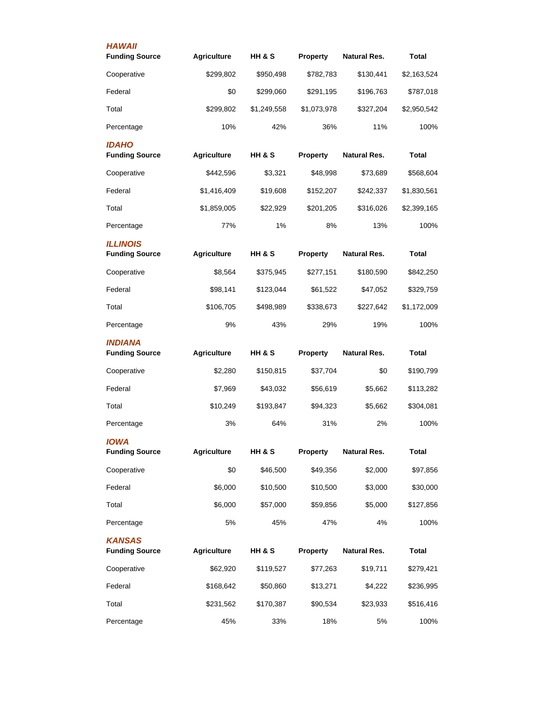| <b>HAWAII</b><br><b>Funding Source</b>   | <b>Agriculture</b> | <b>HH &amp; S</b> | <b>Property</b> | Natural Res.        | Total        |
|------------------------------------------|--------------------|-------------------|-----------------|---------------------|--------------|
| Cooperative                              | \$299,802          | \$950,498         | \$782,783       | \$130,441           | \$2,163,524  |
| Federal                                  | \$0                | \$299,060         | \$291,195       | \$196,763           | \$787,018    |
| Total                                    | \$299,802          | \$1,249,558       | \$1,073,978     | \$327,204           | \$2,950,542  |
| Percentage                               | 10%                | 42%               | 36%             | 11%                 | 100%         |
| <b>IDAHO</b><br><b>Funding Source</b>    | <b>Agriculture</b> | HH & S            | <b>Property</b> | Natural Res.        | Total        |
| Cooperative                              | \$442,596          | \$3,321           | \$48,998        | \$73,689            | \$568,604    |
| Federal                                  | \$1,416,409        | \$19,608          | \$152,207       | \$242,337           | \$1,830,561  |
| Total                                    | \$1,859,005        | \$22,929          | \$201,205       | \$316,026           | \$2,399,165  |
| Percentage                               | 77%                | 1%                | 8%              | 13%                 | 100%         |
| <b>ILLINOIS</b><br><b>Funding Source</b> | <b>Agriculture</b> | <b>HH &amp; S</b> | <b>Property</b> | <b>Natural Res.</b> | <b>Total</b> |
| Cooperative                              | \$8,564            | \$375,945         | \$277,151       | \$180,590           | \$842,250    |
| Federal                                  | \$98,141           | \$123,044         | \$61,522        | \$47,052            | \$329,759    |
| Total                                    | \$106,705          | \$498,989         | \$338,673       | \$227,642           | \$1,172,009  |
| Percentage                               | 9%                 | 43%               | 29%             | 19%                 | 100%         |
| <b>INDIANA</b><br><b>Funding Source</b>  | <b>Agriculture</b> | HH & S            | <b>Property</b> | Natural Res.        | Total        |
| Cooperative                              | \$2,280            | \$150,815         | \$37,704        | \$0                 | \$190,799    |
| Federal                                  | \$7,969            | \$43,032          | \$56,619        | \$5,662             | \$113,282    |
| Total                                    | \$10,249           | \$193,847         | \$94,323        | \$5,662             | \$304,081    |
| Percentage                               | 3%                 | 64%               | 31%             | 2%                  | 100%         |
| <b>IOWA</b><br><b>Funding Source</b>     | <b>Agriculture</b> | HH & S            | Property        | <b>Natural Res.</b> | <b>Total</b> |
| Cooperative                              | \$0                | \$46,500          | \$49,356        | \$2,000             | \$97,856     |
| Federal                                  | \$6,000            | \$10,500          | \$10,500        | \$3,000             | \$30,000     |
| Total                                    | \$6,000            | \$57,000          | \$59,856        | \$5,000             | \$127,856    |
| Percentage                               | 5%                 | 45%               | 47%             | 4%                  | 100%         |
| <b>KANSAS</b><br><b>Funding Source</b>   | <b>Agriculture</b> | HH & S            | <b>Property</b> | <b>Natural Res.</b> | <b>Total</b> |
| Cooperative                              | \$62,920           | \$119,527         | \$77,263        | \$19,711            | \$279,421    |
| Federal                                  | \$168,642          | \$50,860          | \$13,271        | \$4,222             | \$236,995    |
| Total                                    | \$231,562          | \$170,387         | \$90,534        | \$23,933            | \$516,416    |
| Percentage                               | 45%                | 33%               | 18%             | 5%                  | 100%         |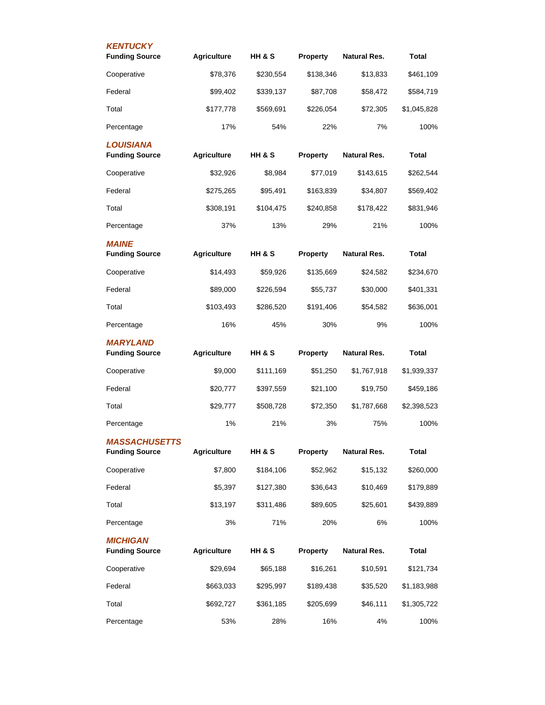| <b>KENTUCKY</b>                               |                    |           |                 |                     |              |
|-----------------------------------------------|--------------------|-----------|-----------------|---------------------|--------------|
| <b>Funding Source</b>                         | <b>Agriculture</b> | HH & S    | <b>Property</b> | <b>Natural Res.</b> | <b>Total</b> |
| Cooperative                                   | \$78,376           | \$230,554 | \$138,346       | \$13,833            | \$461,109    |
| Federal                                       | \$99,402           | \$339,137 | \$87,708        | \$58,472            | \$584,719    |
| Total                                         | \$177,778          | \$569,691 | \$226,054       | \$72,305            | \$1,045,828  |
| Percentage                                    | 17%                | 54%       | 22%             | 7%                  | 100%         |
| <b>LOUISIANA</b><br><b>Funding Source</b>     | <b>Agriculture</b> | HH & S    | Property        | <b>Natural Res.</b> | Total        |
| Cooperative                                   | \$32,926           | \$8,984   | \$77,019        | \$143,615           | \$262,544    |
| Federal                                       | \$275,265          | \$95,491  | \$163,839       | \$34,807            | \$569,402    |
| Total                                         | \$308,191          | \$104,475 | \$240,858       | \$178,422           | \$831,946    |
| Percentage                                    | 37%                | 13%       | 29%             | 21%                 | 100%         |
| <b>MAINE</b>                                  |                    |           |                 |                     |              |
| <b>Funding Source</b>                         | <b>Agriculture</b> | HH & S    | <b>Property</b> | <b>Natural Res.</b> | Total        |
| Cooperative                                   | \$14,493           | \$59,926  | \$135,669       | \$24,582            | \$234,670    |
| Federal                                       | \$89,000           | \$226,594 | \$55,737        | \$30,000            | \$401,331    |
| Total                                         | \$103,493          | \$286,520 | \$191,406       | \$54,582            | \$636,001    |
| Percentage                                    | 16%                | 45%       | 30%             | 9%                  | 100%         |
| <b>MARYLAND</b><br><b>Funding Source</b>      | <b>Agriculture</b> | HH & S    | <b>Property</b> | Natural Res.        | Total        |
| Cooperative                                   | \$9,000            | \$111,169 | \$51,250        | \$1,767,918         | \$1,939,337  |
| Federal                                       |                    |           |                 |                     |              |
|                                               | \$20,777           | \$397,559 | \$21,100        | \$19,750            | \$459,186    |
| Total                                         | \$29,777           | \$508,728 | \$72,350        | \$1,787,668         | \$2,398,523  |
| Percentage                                    | 1%                 | 21%       | 3%              | 75%                 | 100%         |
| <b>MASSACHUSETTS</b><br><b>Funding Source</b> | <b>Agriculture</b> | HH & S    | <b>Property</b> | <b>Natural Res.</b> | <b>Total</b> |
| Cooperative                                   | \$7,800            | \$184,106 | \$52,962        | \$15,132            | \$260,000    |
| Federal                                       | \$5,397            | \$127,380 | \$36,643        | \$10,469            | \$179,889    |
| Total                                         | \$13,197           | \$311,486 | \$89,605        | \$25,601            | \$439,889    |
| Percentage                                    | 3%                 | 71%       | 20%             | 6%                  | 100%         |
| <b>MICHIGAN</b><br><b>Funding Source</b>      | <b>Agriculture</b> | HH & S    | <b>Property</b> | <b>Natural Res.</b> | Total        |
| Cooperative                                   | \$29,694           | \$65,188  | \$16,261        | \$10,591            | \$121,734    |
| Federal                                       | \$663,033          | \$295,997 | \$189,438       | \$35,520            | \$1,183,988  |
| Total                                         | \$692,727          | \$361,185 | \$205,699       | \$46,111            | \$1,305,722  |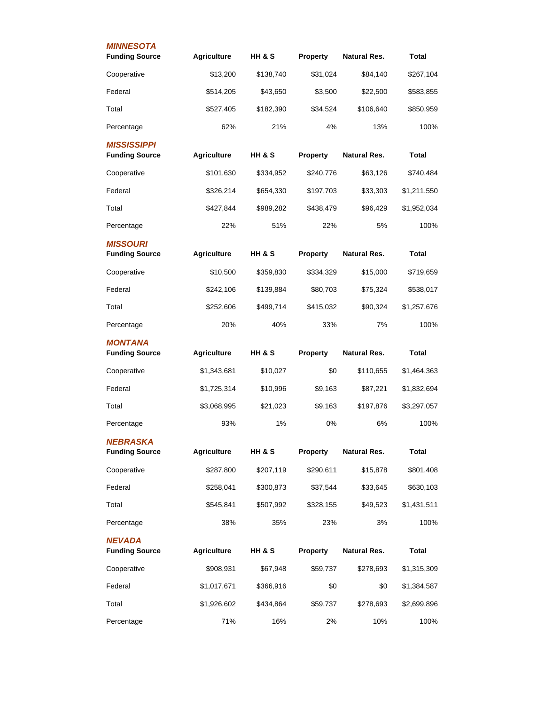| <b>MINNESOTA</b><br><b>Funding Source</b>   | <b>Agriculture</b> | HH & S    | <b>Property</b> | <b>Natural Res.</b> | Total        |
|---------------------------------------------|--------------------|-----------|-----------------|---------------------|--------------|
| Cooperative                                 | \$13,200           | \$138,740 | \$31,024        | \$84,140            | \$267,104    |
| Federal                                     | \$514,205          | \$43,650  | \$3,500         | \$22,500            | \$583,855    |
| Total                                       | \$527,405          | \$182,390 | \$34,524        | \$106,640           | \$850,959    |
| Percentage                                  | 62%                | 21%       | 4%              | 13%                 | 100%         |
| <b>MISSISSIPPI</b><br><b>Funding Source</b> | <b>Agriculture</b> | HH & S    | Property        | <b>Natural Res.</b> | <b>Total</b> |
| Cooperative                                 | \$101,630          | \$334,952 | \$240,776       | \$63,126            | \$740,484    |
| Federal                                     | \$326,214          | \$654,330 | \$197,703       | \$33,303            | \$1,211,550  |
| Total                                       | \$427,844          | \$989,282 | \$438,479       | \$96,429            | \$1,952,034  |
| Percentage                                  | 22%                | 51%       | 22%             | 5%                  | 100%         |
| <b>MISSOURI</b><br><b>Funding Source</b>    | <b>Agriculture</b> | HH & S    | Property        | Natural Res.        | <b>Total</b> |
| Cooperative                                 | \$10,500           | \$359,830 | \$334,329       | \$15,000            | \$719,659    |
| Federal                                     | \$242,106          | \$139,884 | \$80,703        | \$75,324            | \$538,017    |
| Total                                       | \$252,606          | \$499,714 | \$415,032       | \$90,324            | \$1,257,676  |
| Percentage                                  | 20%                | 40%       | 33%             | 7%                  | 100%         |
| <b>MONTANA</b><br><b>Funding Source</b>     | <b>Agriculture</b> | HH & S    | <b>Property</b> | Natural Res.        | Total        |
| Cooperative                                 | \$1,343,681        | \$10,027  | \$0             | \$110,655           | \$1,464,363  |
| Federal                                     | \$1,725,314        | \$10,996  | \$9,163         | \$87,221            | \$1,832,694  |
| Total                                       | \$3,068,995        | \$21,023  | \$9,163         | \$197,876           | \$3,297,057  |
| Percentage                                  | 93%                | 1%        | 0%              | 6%                  | 100%         |
| <b>NEBRASKA</b><br><b>Funding Source</b>    | <b>Agriculture</b> | HH & S    | Property        | <b>Natural Res.</b> | <b>Total</b> |
| Cooperative                                 | \$287,800          | \$207,119 | \$290,611       | \$15,878            | \$801,408    |
| Federal                                     | \$258,041          | \$300,873 | \$37,544        | \$33,645            | \$630,103    |
| Total                                       | \$545,841          | \$507,992 | \$328,155       | \$49,523            | \$1,431,511  |
| Percentage                                  | 38%                | 35%       | 23%             | 3%                  | 100%         |
| <b>NEVADA</b><br><b>Funding Source</b>      | <b>Agriculture</b> | HH & S    | Property        | <b>Natural Res.</b> | <b>Total</b> |
| Cooperative                                 | \$908,931          | \$67,948  | \$59,737        | \$278,693           | \$1,315,309  |
| Federal                                     | \$1,017,671        | \$366,916 | \$0             | \$0                 | \$1,384,587  |
| Total                                       | \$1,926,602        | \$434,864 | \$59,737        | \$278,693           | \$2,699,896  |
| Percentage                                  | 71%                | 16%       | 2%              | 10%                 | 100%         |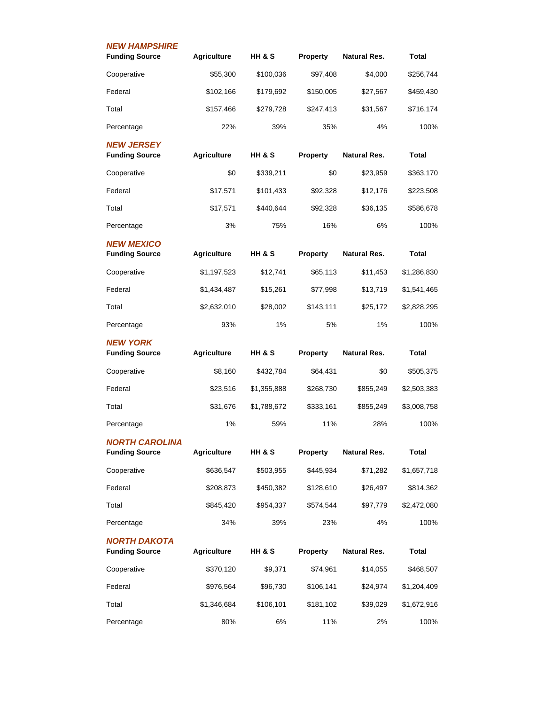| <b>NEW HAMPSHIRE</b>                           |                    |                   |                 |                     |              |
|------------------------------------------------|--------------------|-------------------|-----------------|---------------------|--------------|
| <b>Funding Source</b>                          | <b>Agriculture</b> | HH & S            | <b>Property</b> | <b>Natural Res.</b> | Total        |
| Cooperative                                    | \$55,300           | \$100,036         | \$97,408        | \$4,000             | \$256,744    |
| Federal                                        | \$102,166          | \$179,692         | \$150,005       | \$27,567            | \$459,430    |
| Total                                          | \$157,466          | \$279,728         | \$247,413       | \$31,567            | \$716,174    |
| Percentage                                     | 22%                | 39%               | 35%             | 4%                  | 100%         |
| <b>NEW JERSEY</b><br><b>Funding Source</b>     | <b>Agriculture</b> | HH & S            | <b>Property</b> | <b>Natural Res.</b> | Total        |
| Cooperative                                    | \$0                | \$339,211         | \$0             | \$23,959            | \$363,170    |
| Federal                                        | \$17,571           | \$101,433         | \$92,328        | \$12,176            | \$223,508    |
| Total                                          | \$17,571           | \$440.644         | \$92.328        | \$36,135            | \$586,678    |
| Percentage                                     | 3%                 | 75%               | 16%             | 6%                  | 100%         |
| <b>NEW MEXICO</b><br><b>Funding Source</b>     | <b>Agriculture</b> | <b>HH &amp; S</b> | Property        | Natural Res.        | Total        |
| Cooperative                                    | \$1,197,523        | \$12,741          | \$65,113        | \$11,453            | \$1,286,830  |
| Federal                                        | \$1,434,487        | \$15,261          | \$77,998        | \$13,719            | \$1,541,465  |
| Total                                          | \$2,632,010        | \$28,002          | \$143,111       | \$25,172            | \$2,828,295  |
| Percentage                                     | 93%                | 1%                | 5%              | 1%                  | 100%         |
| <b>NEW YORK</b><br><b>Funding Source</b>       | <b>Agriculture</b> | <b>HH &amp; S</b> | <b>Property</b> | Natural Res.        | Total        |
| Cooperative                                    | \$8,160            | \$432,784         | \$64,431        | \$0                 | \$505,375    |
| Federal                                        | \$23,516           | \$1,355,888       | \$268,730       | \$855,249           | \$2,503,383  |
| Total                                          | \$31,676           | \$1,788,672       | \$333,161       | \$855,249           | \$3,008,758  |
| Percentage                                     | 1%                 | 59%               | 11%             | 28%                 | 100%         |
| <b>NORTH CAROLINA</b><br><b>Funding Source</b> | <b>Agriculture</b> | HH & S            | <b>Property</b> | <b>Natural Res.</b> | <b>Total</b> |
| Cooperative                                    | \$636,547          | \$503,955         | \$445,934       | \$71,282            | \$1,657,718  |
| Federal                                        | \$208,873          | \$450,382         | \$128,610       | \$26,497            | \$814,362    |
| Total                                          | \$845,420          | \$954,337         | \$574,544       | \$97,779            | \$2,472,080  |
| Percentage                                     | 34%                | 39%               | 23%             | 4%                  | 100%         |
| NORTH DAKOTA<br><b>Funding Source</b>          | <b>Agriculture</b> | <b>HH &amp; S</b> | <b>Property</b> | <b>Natural Res.</b> | <b>Total</b> |
| Cooperative                                    | \$370,120          | \$9,371           | \$74,961        | \$14,055            | \$468,507    |
| Federal                                        | \$976,564          | \$96,730          | \$106,141       | \$24,974            | \$1,204,409  |
|                                                |                    |                   |                 |                     |              |
| Total                                          | \$1,346,684        | \$106,101         | \$181,102       | \$39,029            | \$1,672,916  |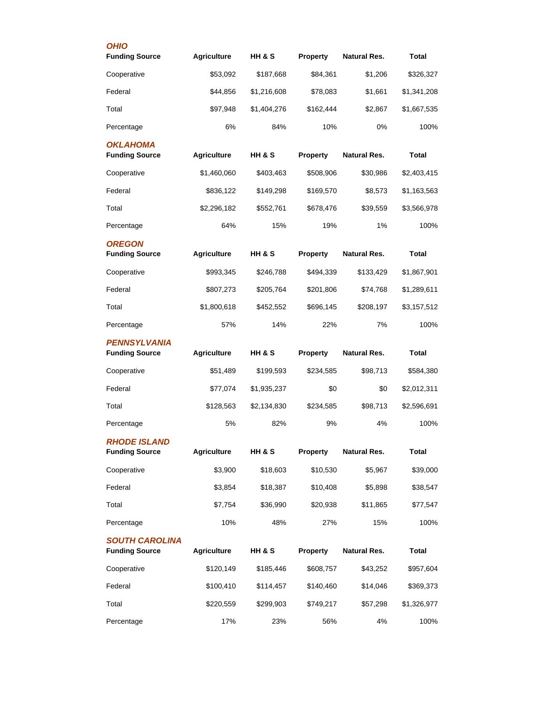| <b>OHIO</b>                                    |                    |             |                 |                     |              |
|------------------------------------------------|--------------------|-------------|-----------------|---------------------|--------------|
| <b>Funding Source</b>                          | <b>Agriculture</b> | HH & S      | <b>Property</b> | <b>Natural Res.</b> | <b>Total</b> |
| Cooperative                                    | \$53,092           | \$187,668   | \$84,361        | \$1,206             | \$326,327    |
| Federal                                        | \$44,856           | \$1,216,608 | \$78,083        | \$1,661             | \$1,341,208  |
| Total                                          | \$97,948           | \$1,404,276 | \$162,444       | \$2,867             | \$1,667,535  |
| Percentage                                     | 6%                 | 84%         | 10%             | 0%                  | 100%         |
| <b>OKLAHOMA</b><br><b>Funding Source</b>       | <b>Agriculture</b> | HH & S      | <b>Property</b> | <b>Natural Res.</b> | <b>Total</b> |
| Cooperative                                    | \$1,460,060        | \$403,463   | \$508,906       | \$30,986            | \$2,403,415  |
| Federal                                        | \$836,122          | \$149,298   | \$169,570       | \$8,573             | \$1,163,563  |
| Total                                          | \$2,296,182        | \$552,761   | \$678,476       | \$39,559            | \$3,566,978  |
| Percentage                                     | 64%                | 15%         | 19%             | 1%                  | 100%         |
| <b>OREGON</b><br><b>Funding Source</b>         | <b>Agriculture</b> | HH & S      | <b>Property</b> | Natural Res.        | <b>Total</b> |
| Cooperative                                    | \$993,345          | \$246,788   | \$494,339       | \$133,429           | \$1,867,901  |
| Federal                                        | \$807,273          | \$205,764   | \$201,806       | \$74,768            | \$1,289,611  |
| Total                                          | \$1,800,618        | \$452,552   | \$696,145       | \$208,197           | \$3,157,512  |
| Percentage                                     | 57%                | 14%         | 22%             | 7%                  | 100%         |
| <b>PENNSYLVANIA</b><br><b>Funding Source</b>   | <b>Agriculture</b> | HH & S      | <b>Property</b> | Natural Res.        | Total        |
| Cooperative                                    | \$51,489           | \$199,593   | \$234,585       | \$98,713            | \$584,380    |
| Federal                                        | \$77,074           | \$1,935,237 | \$0             | \$0                 | \$2,012,311  |
| Total                                          | \$128,563          | \$2,134,830 | \$234,585       | \$98,713            | \$2,596,691  |
| Percentage                                     | 5%                 | 82%         | 9%              | 4%                  | 100%         |
| <b>RHODE ISLAND</b><br><b>Funding Source</b>   | <b>Agriculture</b> | HH & S      | Property        | <b>Natural Res.</b> | <b>Total</b> |
| Cooperative                                    | \$3,900            | \$18,603    | \$10,530        | \$5,967             | \$39,000     |
| Federal                                        | \$3,854            | \$18,387    | \$10,408        | \$5,898             | \$38,547     |
| Total                                          | \$7,754            | \$36,990    | \$20,938        | \$11,865            | \$77,547     |
| Percentage                                     | 10%                | 48%         | 27%             | 15%                 | 100%         |
| <b>SOUTH CAROLINA</b><br><b>Funding Source</b> | <b>Agriculture</b> | HH & S      | <b>Property</b> | <b>Natural Res.</b> | <b>Total</b> |
| Cooperative                                    | \$120,149          | \$185,446   | \$608,757       | \$43,252            | \$957,604    |
| Federal                                        | \$100,410          | \$114,457   | \$140,460       | \$14,046            | \$369,373    |
| Total                                          | \$220,559          | \$299,903   | \$749,217       | \$57,298            | \$1,326,977  |
| Percentage                                     | 17%                | 23%         | 56%             | 4%                  | 100%         |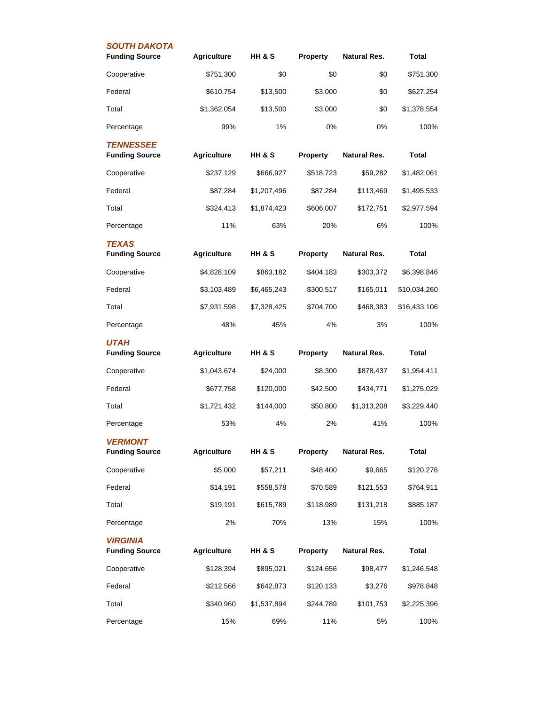| <b>SOUTH DAKOTA</b><br><b>Funding Source</b> | <b>Agriculture</b> | HH & S            | Property        | <b>Natural Res.</b> | <b>Total</b> |
|----------------------------------------------|--------------------|-------------------|-----------------|---------------------|--------------|
| Cooperative                                  | \$751,300          | \$0               | \$0             | \$0                 | \$751,300    |
| Federal                                      | \$610,754          | \$13,500          | \$3,000         | \$0                 | \$627,254    |
| Total                                        | \$1,362,054        | \$13,500          | \$3,000         | \$0                 | \$1,378,554  |
| Percentage                                   | 99%                | 1%                | 0%              | 0%                  | 100%         |
| <b>TENNESSEE</b><br><b>Funding Source</b>    | <b>Agriculture</b> | <b>HH &amp; S</b> | <b>Property</b> | <b>Natural Res.</b> | <b>Total</b> |
| Cooperative                                  | \$237,129          | \$666,927         | \$518,723       | \$59,282            | \$1,482,061  |
| Federal                                      | \$87,284           | \$1,207,496       | \$87,284        | \$113,469           | \$1,495,533  |
| Total                                        | \$324,413          | \$1,874,423       | \$606,007       | \$172,751           | \$2,977,594  |
| Percentage                                   | 11%                | 63%               | 20%             | 6%                  | 100%         |
| <b>TEXAS</b><br><b>Funding Source</b>        | <b>Agriculture</b> | HH & S            | Property        | <b>Natural Res.</b> | Total        |
| Cooperative                                  | \$4,828,109        | \$863,182         | \$404,183       | \$303,372           | \$6,398,846  |
| Federal                                      | \$3,103,489        | \$6,465,243       | \$300,517       | \$165,011           | \$10,034,260 |
| Total                                        | \$7,931,598        | \$7,328,425       | \$704,700       | \$468,383           | \$16,433,106 |
| Percentage                                   | 48%                | 45%               | 4%              | 3%                  | 100%         |
| <b>UTAH</b><br><b>Funding Source</b>         | <b>Agriculture</b> | HH & S            | Property        | Natural Res.        | Total        |
| Cooperative                                  | \$1,043,674        | \$24,000          | \$8,300         | \$878,437           | \$1,954,411  |
| Federal                                      | \$677,758          | \$120,000         | \$42,500        | \$434,771           | \$1,275,029  |
| Total                                        | \$1,721,432        | \$144,000         | \$50,800        | \$1,313,208         | \$3,229,440  |
| Percentage                                   | 53%                | 4%                | 2%              | 41%                 | 100%         |
| <b>VERMONT</b><br><b>Funding Source</b>      | <b>Agriculture</b> | HH & S            | Property        | <b>Natural Res.</b> | <b>Total</b> |
| Cooperative                                  | \$5,000            | \$57,211          | \$48,400        | \$9,665             | \$120,276    |
| Federal                                      | \$14,191           | \$558,578         | \$70,589        | \$121,553           | \$764,911    |
| Total                                        | \$19,191           | \$615,789         | \$118,989       | \$131,218           | \$885,187    |
| Percentage                                   | 2%                 | 70%               | 13%             | 15%                 | 100%         |
| <b>VIRGINIA</b><br><b>Funding Source</b>     | <b>Agriculture</b> | HH & S            | Property        | <b>Natural Res.</b> | <b>Total</b> |
| Cooperative                                  | \$128,394          | \$895,021         | \$124,656       | \$98,477            | \$1,246,548  |
| Federal                                      | \$212,566          | \$642,873         | \$120,133       | \$3,276             | \$978,848    |
| Total                                        | \$340,960          | \$1,537,894       | \$244,789       | \$101,753           | \$2,225,396  |
|                                              |                    |                   |                 |                     |              |